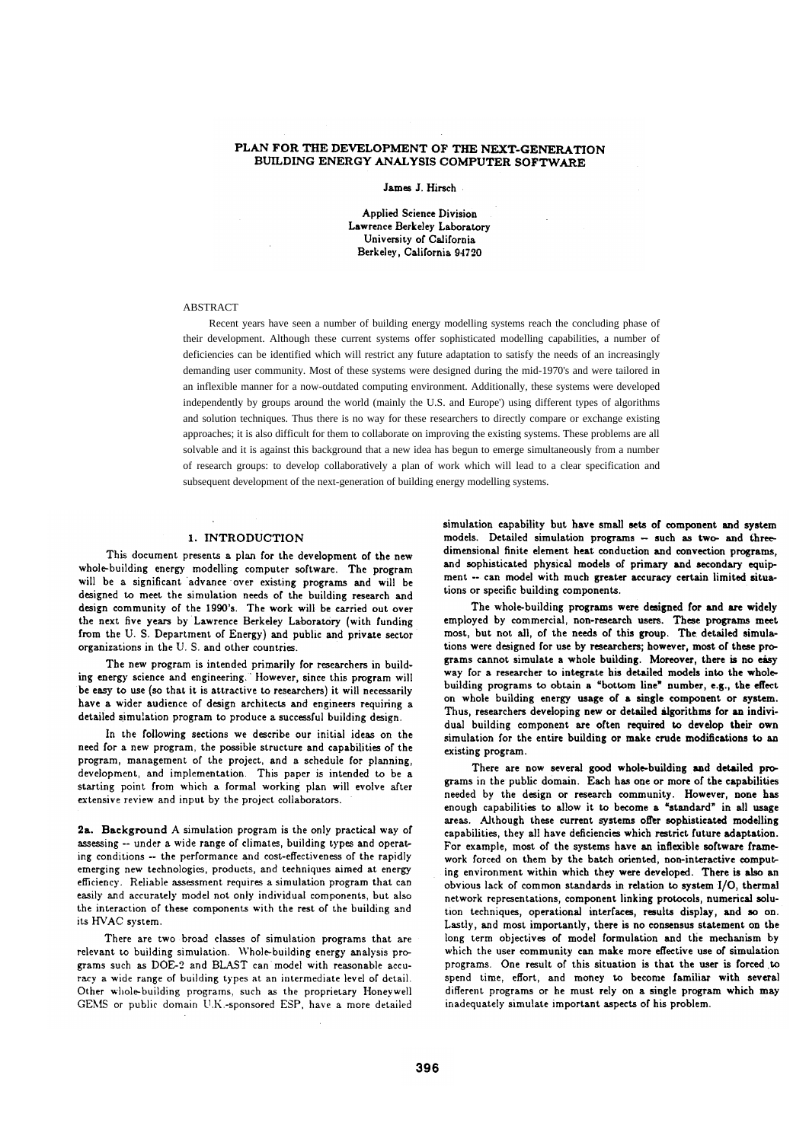# PLAN FOR THE DEVELOPMENT OF THE NEXT-GENERATION BUILDING ENERGY ANALYSIS COMPUTER SOFTWARE

James J. Hirsch

**Applied Science Division** Lawrence Berkeley Laboratory University of California Berkeley, California 94720

# **ARSTRACT**

Recent years have seen a number of building energy modelling systems reach the concluding phase of their development. Although these current systems offer sophisticated modelling capabilities, a number of deficiencies can be identified which will restrict any future adaptation to satisfy the needs of an increasingly demanding user community. Most of these systems were designed during the mid-1970's and were tailored in an inflexible manner for a now-outdated computing environment. Additionally, these systems were developed independently by groups around the world (mainly the U.S. and Europe') using different types of algorithms and solution techniques. Thus there is no way for these researchers to directly compare or exchange existing approaches; it is also difficult for them to collaborate on improving the existing systems. These problems are all solvable and it is against this background that a new idea has begun to emerge simultaneously from a number of research groups: to develop collaboratively a plan of work which will lead to a clear specification and subsequent development of the next-generation of building energy modelling systems.

### 1. INTRODUCTION

This document presents a plan for the development of the new whole-building energy modelling computer software. The program will be a significant advance over existing programs and will be designed to meet the simulation needs of the building research and design community of the 1990's. The work will be carried out over the next five years by Lawrence Berkeley Laboratory (with funding from the U.S. Department of Energy) and public and private sector organizations in the U.S. and other countries.

The new program is intended primarily for researchers in building energy science and engineering. However, since this program will be easy to use (so that it is attractive to researchers) it will necessarily have a wider audience of design architects and engineers requiring a detailed simulation program to produce a successful building design.

In the following sections we describe our initial ideas on the need for a new program, the possible structure and capabilities of the program, management of the project, and a schedule for planning, development, and implementation. This paper is intended to be a starting point from which a formal working plan will evolve after extensive review and input by the project collaborators.

2a. Background A simulation program is the only practical way of assessing -- under a wide range of climates, building types and operating conditions -- the performance and cost-effectiveness of the rapidly emerging new technologies, products, and techniques aimed at energy efficiency. Reliable assessment requires a simulation program that can easily and accurately model not only individual components, but also the interaction of these components with the rest of the building and its HVAC system

There are two broad classes of simulation programs that are relevant to building simulation. Whole-building energy analysis programs such as DOE-2 and BLAST can model with reasonable accuracy a wide range of building types at an intermediate level of detail. Other whole-building programs, such as the proprietary Honeywell GEMS or public domain U.K.-sponsored ESP, have a more detailed simulation capability but have small sets of component and system models. Detailed simulation programs - such as two- and threedimensional finite element heat conduction and convection programs. and sophisticated physical models of primary and secondary equipment -- can model with much greater accuracy certain limited situations or specific building components.

The whole-building programs were designed for and are widely employed by commercial, non-research users. These programs meet most, but not all, of the needs of this group. The detailed simulations were designed for use by researchers; however, most of these programs cannot simulate a whole building. Moreover, there is no easy way for a researcher to integrate his detailed models into the wholebuilding programs to obtain a "bottom line" number, e.g., the effect on whole building energy usage of a single component or system. Thus, researchers developing new or detailed algorithms for an individual building component are often required to develop their own simulation for the entire building or make crude modifications to an existing program.

There are now several good whole-building and detailed programs in the public domain. Each has one or more of the capabilities needed by the design or research community. However, none has enough capabilities to allow it to become a "standard" in all usage areas. Although these current systems offer sophisticated modelling capabilities, they all have deficiencies which restrict future adaptation. For example, most of the systems have an inflexible software framework forced on them by the batch oriented, non-interactive computing environment within which they were developed. There is also an obvious lack of common standards in relation to system I/O, thermal network representations, component linking protocols, numerical solution techniques, operational interfaces, results display, and so on. Lastly, and most importantly, there is no consensus statement on the long term objectives of model formulation and the mechanism by which the user community can make more effective use of simulation programs. One result of this situation is that the user is forced to spend time, effort, and money to become familiar with several different programs or he must rely on a single program which may inadequately simulate important aspects of his problem.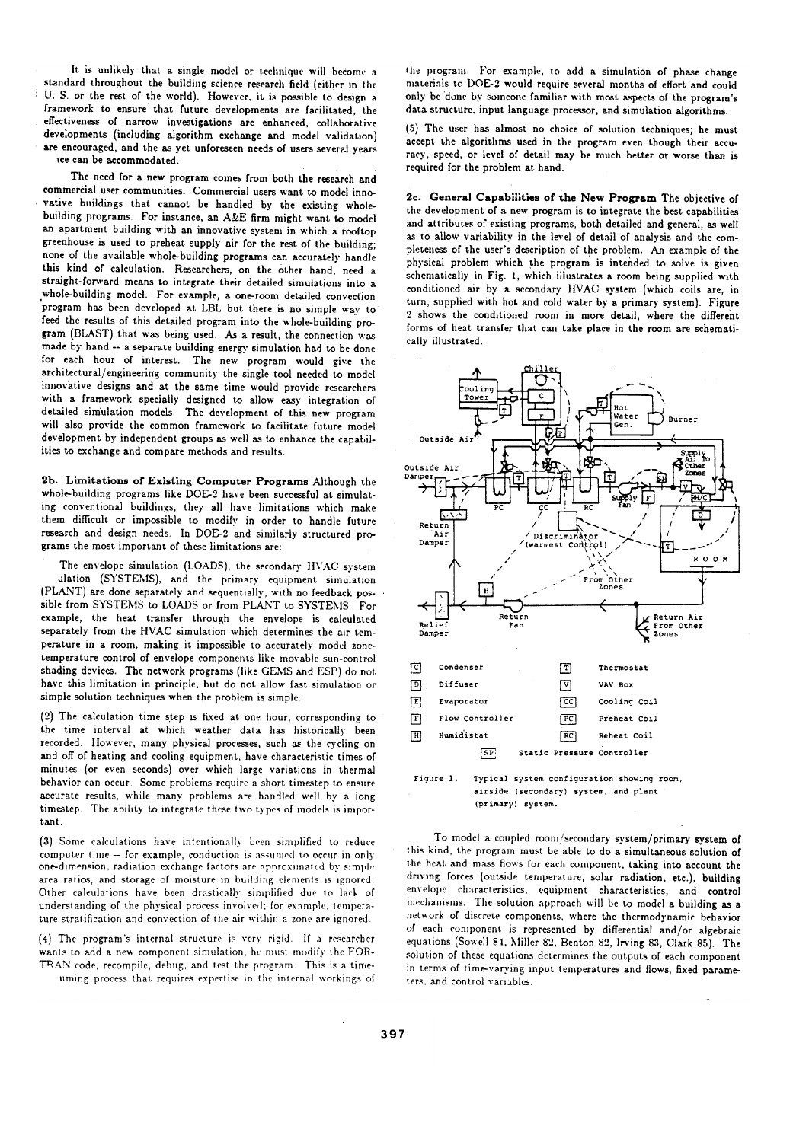It is unlikely that a single model or technique will become a standard throughout the building science research field (either in the U. S. or the rest of the world). However, it is possible to design a framework to ensure that future developments are facilitated, the effectiveness of narrow investigations are enhanced, collaborative developments (including algorithm exchange and model validation) are encouraged, and the as yet unforeseen needs of users several years ace can be accommodated.

The need for a new program comes from both the research and commercial user communities. Commercial users want to model innovative buildings that cannot be handled by the existing wholebuilding programs. For instance, an A&E firm might want to model an apartment building with an innovative system in which a rooftop greenhouse is used to preheat supply air for the rest of the building; none of the available whole-building programs can accurately handle this kind of calculation. Researchers, on the other hand, need a straight-forward means to integrate their detailed simulations into a whole-building model. For example, a one-room detailed convection program has been developed at LBL but there is no simple way to feed the results of this detailed program into the whole-building program (BLAST) that was being used. As a result, the connection was made by hand -- a separate building energy simulation had to be done for each hour of interest. The new program would give the architectural/engineering community the single tool needed to model innovative designs and at the same time would provide researchers with a framework specially designed to allow easy integration of detailed simulation models. The development of this new program will also provide the common framework to facilitate future model development by independent groups as well as to enhance the capabilities to exchange and compare methods and results.

2b. Limitations of Existing Computer Programs Although the whole-building programs like DOE-2 have been successful at simulating conventional buildings, they all have limitations which make them difficult or impossible to modify in order to handle future research and design needs. In DOE-2 and similarly structured programs the most important of these limitations are:

The envelope simulation (LOADS), the secondary HVAC system ulation (SYSTEMS), and the primary equipment simulation (PLANT) are done separately and sequentially, with no feedback possible from SYSTEMS to LOADS or from PLANT to SYSTEMS. For example, the heat transfer through the envelope is calculated separately from the HVAC simulation which determines the air temperature in a room, making it impossible to accurately model zonetemperature control of envelope components like movable sun-control shading devices. The network programs (like GEMS and ESP) do not have this limitation in principle, but do not allow fast simulation or simple solution techniques when the problem is simple.

(2) The calculation time step is fixed at one hour, corresponding to the time interval at which weather data has historically been recorded. However, many physical processes, such as the cycling on and off of heating and cooling equipment, have characteristic times of minutes (or even seconds) over which large variations in thermal behavior can occur. Some problems require a short timestep to ensure accurate results, while many problems are handled well by a long timestep. The ability to integrate these two types of models is important.

(3) Some calculations have intentionally been simplified to reduce computer time -- for example, conduction is assumed to occur in only one-dimension, radiation exchange factors are approximated by simple area ratios, and storage of moisture in building elements is ignored. Other calculations have been drastically simplified due to lack of understanding of the physical process involved; for example, temperature stratification and convection of the air within a zone are ignored.

(4) The program's internal structure is very rigid. If a researcher wants to add a new component simulation, he must modify the FOR-TRAN code, recompile, debug, and test the program. This is a timeuming process that requires expertise in the internal workings of the program. For example, to add a simulation of phase change materials to DOE-2 would require several months of effort and could only be done by someone familiar with most aspects of the program's data structure, input language processor, and simulation algorithms.

(5) The user has almost no choice of solution techniques; he must accept the algorithms used in the program even though their accuracy, speed, or level of detail may be much better or worse than is required for the problem at hand.

2c. General Capabilities of the New Program The objective of the development of a new program is to integrate the best capabilities and attributes of existing programs, both detailed and general, as well as to allow variability in the level of detail of analysis and the completeness of the user's description of the problem. An example of the physical problem which the program is intended to solve is given schematically in Fig. 1, which illustrates a room being supplied with conditioned air by a secondary HVAC system (which coils are, in turn, supplied with hot and cold water by a primary system). Figure 2 shows the conditioned room in more detail, where the different forms of heat transfer that can take place in the room are schematically illustrated.



Figure 1. Typical system configuration showing room, airside (secondary) system, and plant (primary) system.

To model a coupled room/secondary system/primary system of this kind, the program must be able to do a simultaneous solution of the heat and mass flows for each component, taking into account the driving forces (outside temperature, solar radiation, etc.), building envelope characteristics, equipment characteristics, and control mechanisms. The solution approach will be to model a building as a network of discrete components, where the thermodynamic behavior of each component is represented by differential and/or algebraic equations (Sowell 84, Miller 82, Benton 82, Irving 83, Clark 85). The solution of these equations determines the outputs of each component in terms of time-varying input temperatures and flows, fixed parameters, and control variables.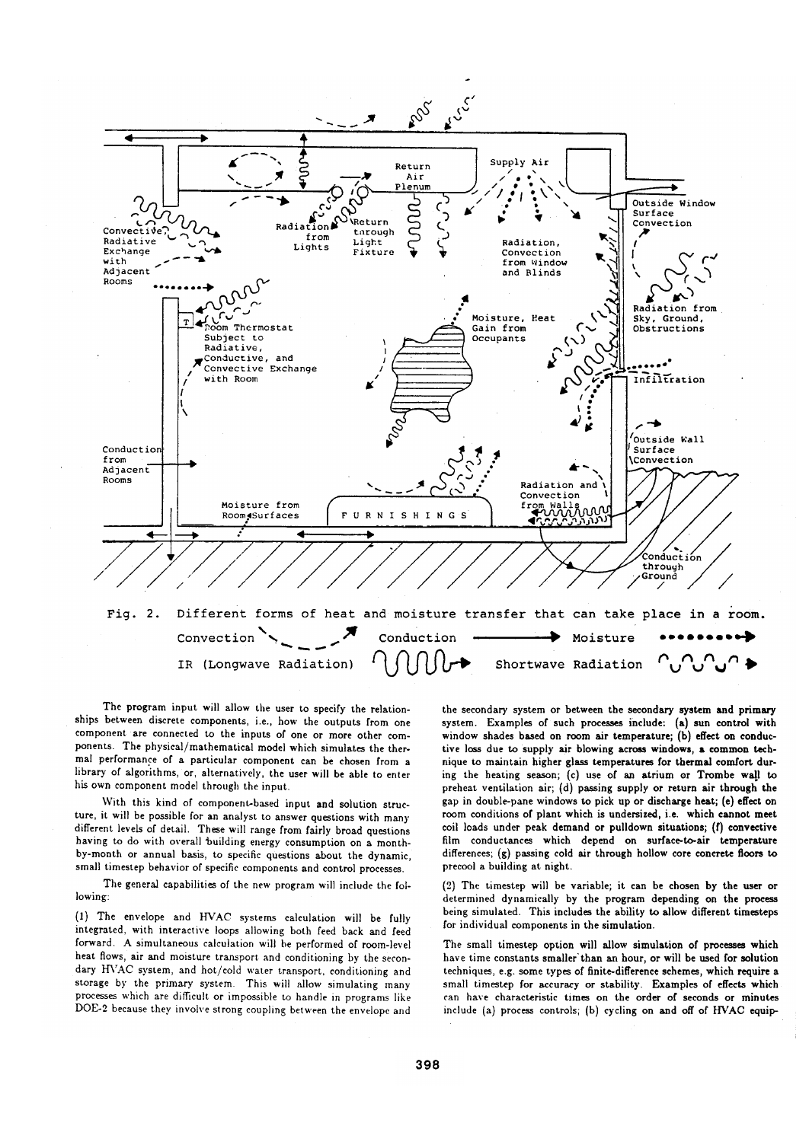

The program input will allow the user to specify the relationships between discrete components, i.e., how the outputs from one component are connected to the inputs of one or more other components. The physical/mathematical model which simulates the thermal performance of a particular component can be chosen from a library of algorithms, or, alternatively, the user will be able to enter his own component model through the input.

With this kind of component-based input and solution structure, it will be possible for an analyst to answer questions with many different levels of detail. These will range from fairly broad questions having to do with overall building energy consumption on a monthby-month or annual basis, to specific questions about the dynamic, small timestep behavior of specific components and control processes.

The general capabilities of the new program will include the following:

(1) The envelope and HVAC systems calculation will be fully integrated, with interactive loops allowing both feed back and feed forward. A simultaneous calculation will be performed of room-level heat flows, air and moisture transport and conditioning by the secondary HVAC system, and hot/cold water transport, conditioning and storage by the primary system. This will allow simulating many processes which are difficult or impossible to handle in programs like DOE-2 because they involve strong coupling between the envelope and

the secondary system or between the secondary system and primary system. Examples of such processes include: (a) sun control with window shades based on room air temperature; (b) effect on conductive loss due to supply air blowing across windows, a common technique to maintain higher glass temperatures for thermal comfort during the heating season; (c) use of an atrium or Trombe wall to preheat ventilation air; (d) passing supply or return air through the gap in double-pane windows to pick up or discharge heat; (e) effect on room conditions of plant which is undersized, i.e. which cannot meet coil loads under peak demand or pulldown situations; (f) convective film conductances which depend on surface-to-air temperature differences; (g) passing cold air through hollow core concrete floors to precool a building at night.

(2) The timestep will be variable; it can be chosen by the user or determined dynamically by the program depending on the process being simulated. This includes the ability to allow different timesteps for individual components in the simulation.

The small timestep option will allow simulation of processes which have time constants smaller than an hour, or will be used for solution techniques, e.g. some types of finite-difference schemes, which require a small timestep for accuracy or stability. Examples of effects which can have characteristic times on the order of seconds or minutes include (a) process controls; (b) cycling on and off of HVAC equip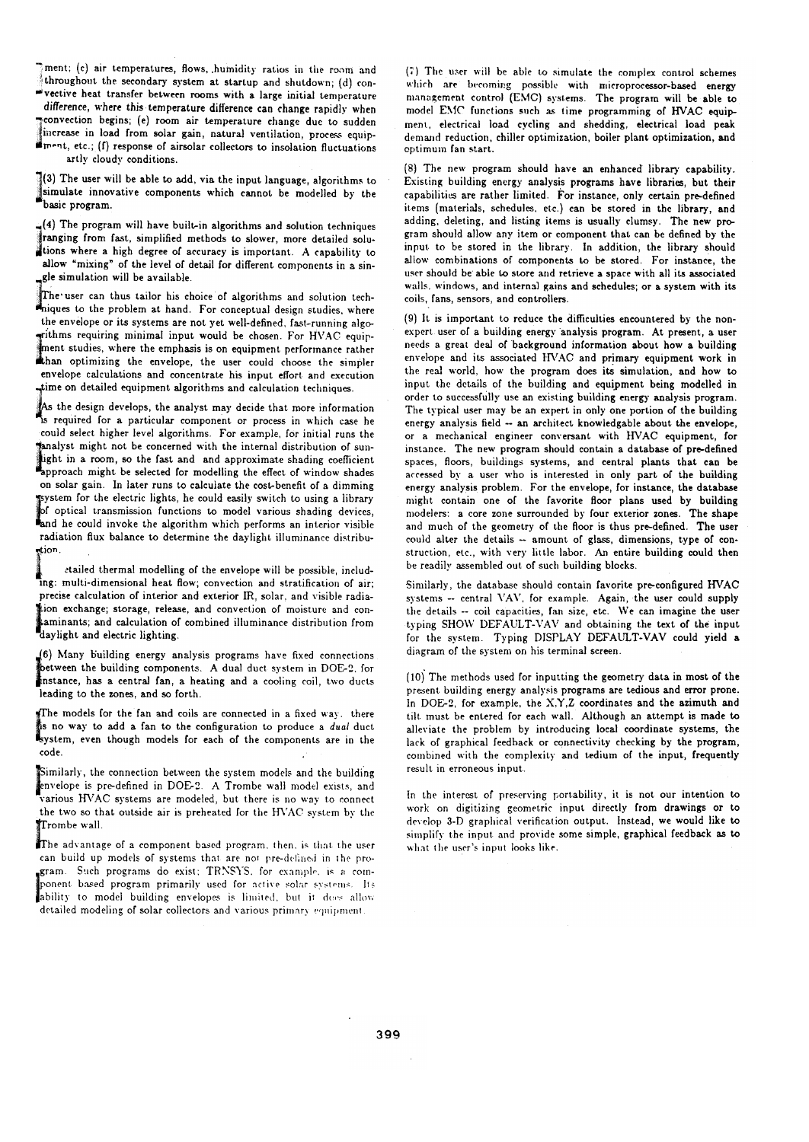ment; (c) air temperatures, flows, humidity ratios in the room and throughout the secondary system at startup and shutdown; (d) con-

"vective heat transfer between rooms with a large initial temperature difference, where this temperature difference can change rapidly when convection begins; (e) room air temperature change due to sudden increase in load from solar gain, natural ventilation, process equipment, etc.; (f) response of airsolar collectors to insolation fluctuations

artly cloudy conditions.

 $\sqrt[3]{3}$  The user will be able to add, via the input language, algorithms to simulate innovative components which cannot be modelled by the basic program.

 $(4)$  The program will have built-in algorithms and solution techniques tranging from fast, simplified methods to slower, more detailed solutions where a high degree of accuracy is important. A capability to allow "mixing" of the level of detail for different components in a single simulation will be available.

The user can thus tailor his choice of algorithms and solution techniques to the problem at hand. For conceptual design studies, where the envelope or its systems are not yet well-defined, fast-running algogrithms requiring minimal input would be chosen. For HVAC equipment studies, where the emphasis is on equipment performance rather than optimizing the envelope, the user could choose the simpler envelope calculations and concentrate his input effort and execution time on detailed equipment algorithms and calculation techniques

As the design develops, the analyst may decide that more information is required for a particular component or process in which case he could select higher level algorithms. For example, for initial runs the analyst might not be concerned with the internal distribution of sunlight in a room, so the fast and and approximate shading coefficient<br>approach might be selected for modelling the effect of window shades on solar gain. In later runs to calculate the cost-benefit of a dimming system for the electric lights, he could easily switch to using a library of optical transmission functions to model various shading devices,<br>and he could invoke the algorithm which performs an interior visible radiation flux balance to determine the daylight illuminance distribustion.

etailed thermal modelling of the envelope will be possible, including: multi-dimensional heat flow; convection and stratification of air; precise calculation of interior and exterior IR, solar, and visible radiation exchange; storage, release, and convection of moisture and concaminants; and calculation of combined illuminance distribution from<br>daylight and electric lighting.

(6) Many building energy analysis programs have fixed connections between the building components. A dual duct system in DOE-2, for between the building components. A sum was speed on method of the state, has a central fan, a heating and a cooling coil, two ducts leading to the zones, and so forth.

The models for the fan and coils are connected in a fixed way. there is no way to add a fan to the configuration to produce a dual duct<br>system, even though models for each of the components are in the code.

Similarly, the connection between the system models and the building envelope is pre-defined in DOE-2. A Trombe wall model exists, and various HVAC systems are modeled, but there is no way to connect the two so that outside air is preheated for the HVAC system by the Trombe wall.

The advantage of a component based program, then, is that the user can build up models of systems that are not pre-defined in the program. Such programs do exist: TRNSYS, for example, is a component based program primarily used for active solar systems. Its ability to model building envelopes is limited, but it does allow detailed modeling of solar collectors and various primary equipment.

(7) The user will be able to simulate the complex control schemes which are becoming possible with microprocessor-based energy management control (EMC) systems. The program will be able to model EMC functions such as time programming of HVAC equipment, electrical load cycling and shedding, electrical load peak demand reduction, chiller optimization, boiler plant optimization, and optimum fan start.

(8) The new program should have an enhanced library capability. Existing building energy analysis programs have libraries, but their capabilities are rather limited. For instance, only certain pre-defined items (materials, schedules, etc.) can be stored in the library, and adding, deleting, and listing items is usually clumsy. The new program should allow any item or component that can be defined by the input to be stored in the library. In addition, the library should allow combinations of components to be stored. For instance, the user should be able to store and retrieve a space with all its associated walls, windows, and internal gains and schedules; or a system with its coils. fans. sensors, and controllers.

(9) It is important to reduce the difficulties encountered by the nonexpert user of a building energy analysis program. At present, a user needs a great deal of background information about how a building envelope and its associated HVAC and primary equipment work in the real world, how the program does its simulation, and how to input the details of the building and equipment being modelled in order to successfully use an existing building energy analysis program. The typical user may be an expert in only one portion of the building energy analysis field -- an architect knowledgable about the envelope, or a mechanical engineer conversant with HVAC equipment, for instance. The new program should contain a database of pre-defined spaces, floors, buildings systems, and central plants that can be accessed by a user who is interested in only part of the building energy analysis problem. For the envelope, for instance, the database might contain one of the favorite floor plans used by building modelers: a core zone surrounded by four exterior zones. The shape and much of the geometry of the floor is thus pre-defined. The user could alter the details - amount of glass, dimensions, type of construction, etc., with very little labor. An entire building could then be readily assembled out of such building blocks.

Similarly, the database should contain favorite pre-configured HVAC systems -- central VAV, for example. Again, the user could supply the details -- coil capacities, fan size, etc. We can imagine the user typing SHOW DEFAULT-VAV and obtaining the text of the input for the system. Typing DISPLAY DEFAULT-VAV could yield a diagram of the system on his terminal screen.

(10) The methods used for inputting the geometry data in most of the present building energy analysis programs are tedious and error prone. In DOE-2, for example, the X,Y,Z coordinates and the azimuth and tilt must be entered for each wall. Although an attempt is made to alleviate the problem by introducing local coordinate systems, the lack of graphical feedback or connectivity checking by the program, combined with the complexity and tedium of the input, frequently result in erroneous input.

In the interest of preserving portability, it is not our intention to work on digitizing geometric input directly from drawings or to develop 3-D graphical verification output. Instead, we would like to simplify the input and provide some simple, graphical feedback as to what the user's input looks like.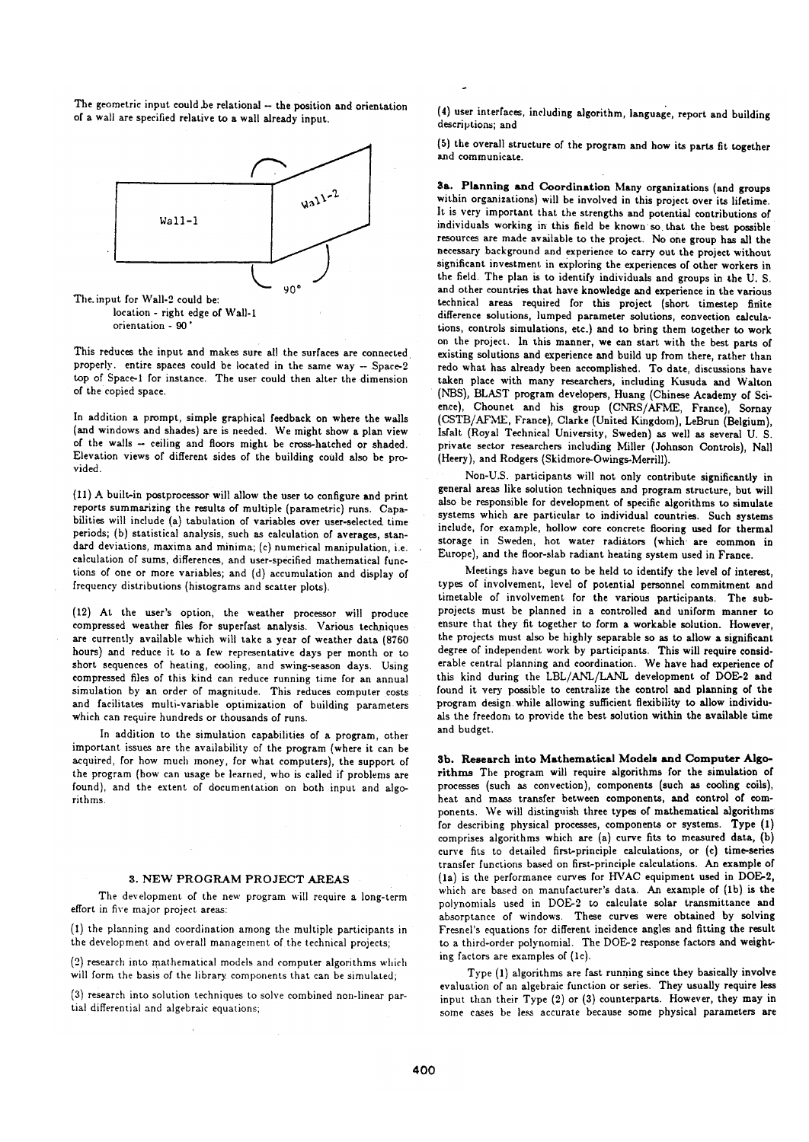The geometric input could be relational -- the position and orientation of a wall are specified relative to a wall already input.



This reduces the input and makes sure all the surfaces are connected properly. entire spaces could be located in the same way -- Space-2 top of Space-1 for instance. The user could then alter the dimension of the copied space.

In addition a prompt, simple graphical feedback on where the walls (and windows and shades) are is needed. We might show a plan view of the walls -- ceiling and floors might be cross-hatched or shaded. Elevation views of different sides of the building could also be provided.

(11) A built-in postprocessor will allow the user to configure and print reports summarizing the results of multiple (parametric) runs. Capabilities will include (a) tabulation of variables over user-selected time periods; (b) statistical analysis, such as calculation of averages, standard deviations, maxima and minima; (c) numerical manipulation, i.e. calculation of sums, differences, and user-specified mathematical functions of one or more variables; and (d) accumulation and display of frequency distributions (histograms and scatter plots).

(12) At the user's option, the weather processor will produce compressed weather files for superfast analysis. Various techniques are currently available which will take a year of weather data (8760 hours) and reduce it to a few representative days per month or to short sequences of heating, cooling, and swing-season days. Using compressed files of this kind can reduce running time for an annual simulation by an order of magnitude. This reduces computer costs and facilitates multi-variable optimization of building parameters which can require hundreds or thousands of runs.

In addition to the simulation capabilities of a program, other important issues are the availability of the program (where it can be acquired, for how much money, for what computers), the support of the program (how can usage be learned, who is called if problems are found), and the extent of documentation on both input and algorithms

#### 3. NEW PROGRAM PROJECT AREAS

The development of the new program will require a long-term effort in five major project areas:

(1) the planning and coordination among the multiple participants in the development and overall management of the technical projects;

(2) research into mathematical models and computer algorithms which will form the basis of the library components that can be simulated:

(3) research into solution techniques to solve combined non-linear partial differential and algebraic equations;

(4) user interfaces, including algorithm, language, report and building descriptions; and

(5) the overall structure of the program and how its parts fit together and communicate.

3a. Planning and Coordination Many organizations (and groups within organizations) will be involved in this project over its lifetime. It is very important that the strengths and potential contributions of individuals working in this field be known so that the best possible resources are made available to the project. No one group has all the necessary background and experience to carry out the project without significant investment in exploring the experiences of other workers in the field. The plan is to identify individuals and groups in the U.S. and other countries that have knowledge and experience in the various technical areas required for this project (short timestep finite difference solutions, lumped parameter solutions, convection calculations, controls simulations, etc.) and to bring them together to work on the project. In this manner, we can start with the best parts of existing solutions and experience and build up from there, rather than redo what has already been accomplished. To date, discussions have taken place with many researchers, including Kusuda and Walton (NBS), BLAST program developers, Huang (Chinese Academy of Science), Chounet and his group (CNRS/AFME, France), Sornav (CSTB/AFME, France), Clarke (United Kingdom), LeBrun (Belgium), Isfalt (Royal Technical University, Sweden) as well as several U. S. private sector researchers including Miller (Johnson Controls). Nall (Heery), and Rodgers (Skidmore-Owings-Merrill).

Non-U.S. participants will not only contribute significantly in general areas like solution techniques and program structure, but will also be responsible for development of specific algorithms to simulate systems which are particular to individual countries. Such systems include, for example, hollow core concrete flooring used for thermal storage in Sweden, hot water radiators (which are common in Europe), and the floor-slab radiant heating system used in France.

Meetings have begun to be held to identify the level of interest. types of involvement, level of potential personnel commitment and timetable of involvement for the various participants. The subprojects must be planned in a controlled and uniform manner to ensure that they fit together to form a workable solution. However, the projects must also be highly separable so as to allow a significant degree of independent work by participants. This will require considerable central planning and coordination. We have had experience of this kind during the LBL/ANL/LANL development of DOE-2 and found it very possible to centralize the control and planning of the program design while allowing sufficient flexibility to allow individuals the freedom to provide the best solution within the available time and budget.

3b. Research into Mathematical Models and Computer Algorithms The program will require algorithms for the simulation of processes (such as convection), components (such as cooling coils), heat and mass transfer between components, and control of components. We will distinguish three types of mathematical algorithms for describing physical processes, components or systems. Type (1) comprises algorithms which are (a) curve fits to measured data, (b) curve fits to detailed first-principle calculations, or (c) time-series transfer functions based on first-principle calculations. An example of (1a) is the performance curves for HVAC equipment used in DOE-2, which are based on manufacturer's data. An example of (1b) is the polynomials used in DOE-2 to calculate solar transmittance and absorptance of windows. These curves were obtained by solving Fresnel's equations for different incidence angles and fitting the result to a third-order polynomial. The DOE-2 response factors and weighting factors are examples of (1c).

Type (1) algorithms are fast running since they basically involve evaluation of an algebraic function or series. They usually require less input than their Type (2) or (3) counterparts. However, they may in some cases be less accurate because some physical parameters are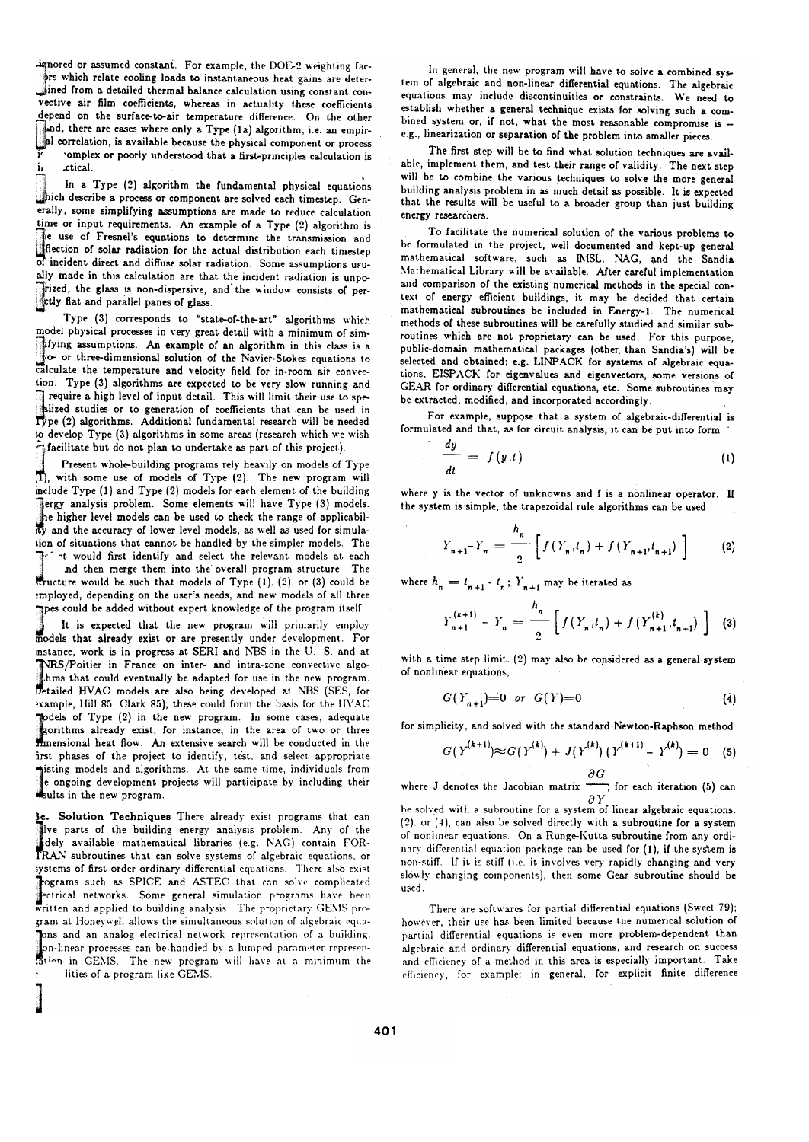-ignored or assumed constant. For example, the DOE-2 weighting fac-

brs which relate cooling loads to instantaneous heat gains are deterined from a detailed thermal balance calculation using constant convective air film coefficients, whereas in actuality these coefficients depend on the surface-to-air temperature difference. On the other and, there are cases where only a Type (1a) algorithm, i.e. an empiral correlation, is available because the physical component or process Ţ complex or poorly understood that a first-principles calculation is i, .ctical.

In a Type (2) algorithm the fundamental physical equations thich describe a process or component are solved each timestep. Generally, some simplifying assumptions are made to reduce calculation time or input requirements. An example of a Type (2) algorithm is The use of Fresnel's equations to determine the transmission and<br>flection of solar radiation for the actual distribution each timestep of incident direct and diffuse solar radiation. Some assumptions usually made in this calculation are that the incident radiation is unpo-Trized, the glass is non-dispersive, and the window consists of per-<br>cluy flat and parallel panes of glass.

Type (3) corresponds to "state-of-the-art" algorithms which model physical processes in very great detail with a minimum of simfying assumptions. An example of an algorithm in this class is a yo- or three-dimensional solution of the Navier-Stokes equations to calculate the temperature and velocity field for in-room air convection. Type (3) algorithms are expected to be very slow running and require a high level of input detail. This will limit their use to sperequire a high level of input detail. This will think that can be used in Type (2) algorithms. Additional fundamental research will be needed to develop Type (3) algorithms in some areas (research which we wish facilitate but do not plan to undertake as part of this project).

Present whole-building programs rely heavily on models of Type Th. with some use of models of Type (2). The new program will include Type (1) and Type (2) models for each element of the building Jergy analysis problem. Some elements will have Type (3) models. he higher level models can be used to check the range of applicability and the accuracy of lower level models, as well as used for simulation of situations that cannot be handled by the simpler models. The <sup>-t</sup> would first identify and select the relevant models at each .nd then merge them into the overall program structure. The structure would be such that models of Type (1). (2). or (3) could be employed, depending on the user's needs, and new models of all three spes could be added without expert knowledge of the program itself.

It is expected that the new program will primarily employ models that already exist or are presently under development. For instance, work is in progress at SERI and NBS in the U. S. and at WRS/Poitier in France on inter- and intra-zone convective algo-<br>thms that could eventually be adapted for use in the new program. Detailed HVAC models are also being developed at NBS (SES, for example, Hill 85, Clark 85); these could form the basis for the HVAC podels of Type (2) in the new program. In some cases, adequate gorithms already exist, for instance, in the area of two or three minensional heat flow. An extensive search will be conducted in the first phases of the project to identify, test. and select appropriate sisting models and algorithms. At the same time, individuals from e ongoing development projects will participate by including their sults in the new program.

3c. Solution Techniques There already exist programs that can lve parts of the building energy analysis problem. Any of the dely available mathematical libraries (e.g. NAG) contain FOR-TRAN subroutines that can solve systems of algebraic equations, or systems of first order ordinary differential equations. There also exist rograms such as SPICE and ASTEC that can solve complicated ectrical networks. Some general simulation programs have been<br>written and applied to building analysis. The proprietary GEMS program at Honeywell allows the simultaneous solution of algebraic equa-Jons and an analog electrical network representation of a building. on-linear processes can be handled by a lumped parameter represenstion in GEMS. The new program will have at a minimum the lities of a program like GEMS.

In general, the new program will have to solve a combined system of algebraic and non-linear differential equations. The algebraic equations may include discontinuities or constraints. We need to establish whether a general technique exists for solving such a combined system or, if not, what the most reasonable compromise is -e.g., linearization or separation of the problem into smaller pieces.

The first step will be to find what solution techniques are available, implement them, and test their range of validity. The next step will be to combine the various techniques to solve the more general building analysis problem in as much detail as possible. It is expected that the results will be useful to a broader group than just building energy researchers.

To facilitate the numerical solution of the various problems to be formulated in the project, well documented and kept-up general mathematical software, such as IMSL, NAG, and the Sandia Mathematical Library will be available. After careful implementation and comparison of the existing numerical methods in the special context of energy efficient buildings, it may be decided that certain mathematical subroutines be included in Energy-1. The numerical methods of these subroutines will be carefully studied and similar subroutines which are not proprietary can be used. For this purpose, public-domain mathematical packages (other than Sandia's) will be selected and obtained; e.g. LINPACK for systems of algebraic equations, EISPACK for eigenvalues and eigenvectors, some versions of GEAR for ordinary differential equations, etc. Some subroutines may be extracted, modified, and incorporated accordingly.

For example, suppose that a system of algebraic-differential is formulated and that, as for circuit analysis, it can be put into form

$$
\frac{dy}{dt} = f(y,t) \tag{1}
$$

where y is the vector of unknowns and f is a nonlinear operator. If the system is simple, the trapezoidal rule algorithms can be used

$$
Y_{n+1} - Y_n = \frac{h_n}{2} \left[ f(Y_n, t_n) + f(Y_{n+1}, t_{n+1}) \right]
$$
 (2)

where  $h_n=t_{n+1}$  -  $t_n$  ;  $\boldsymbol{Y}_{n+1}$  may be iterated as

$$
Y_{n+1}^{(k+1)} - Y_n = \frac{h_n}{2} \left[ f(Y_n, t_n) + f(Y_{n+1}^{(k)}, t_{n+1}) \right]
$$
 (3)

with a time step limit. (2) may also be considered as a general system of nonlinear equations,

$$
G(Y_{n+1})=0 \text{ or } G(Y)=0 \tag{4}
$$

for simplicity, and solved with the standard Newton-Raphson method

$$
G(Y^{(k+1)}) \approx G(Y^{(k)}) + J(Y^{(k)}) (Y^{(k+1)} - Y^{(k)}) = 0 \quad (5)
$$

where J denotes the Jacobian matrix  $\frac{\partial G}{\partial Y}$  for each iteration (5) can

be solved with a subroutine for a system of linear algebraic equations.  $(2)$ . or  $(4)$ , can also be solved directly with a subroutine for a system of nonlinear equations. On a Runge-Kutta subroutine from any ordinary differential equation package can be used for (1), if the system is non-stiff. If it is stiff (i.e. it involves very rapidly changing and very slowly changing components), then some Gear subroutine should be used

There are softwares for partial differential equations (Sweet 79); however, their use has been limited because the numerical solution of partial differential equations is even more problem-dependent than algebraic and ordinary differential equations, and research on success and efficiency of a method in this area is especially important. Take efficiency, for example: in general, for explicit finite difference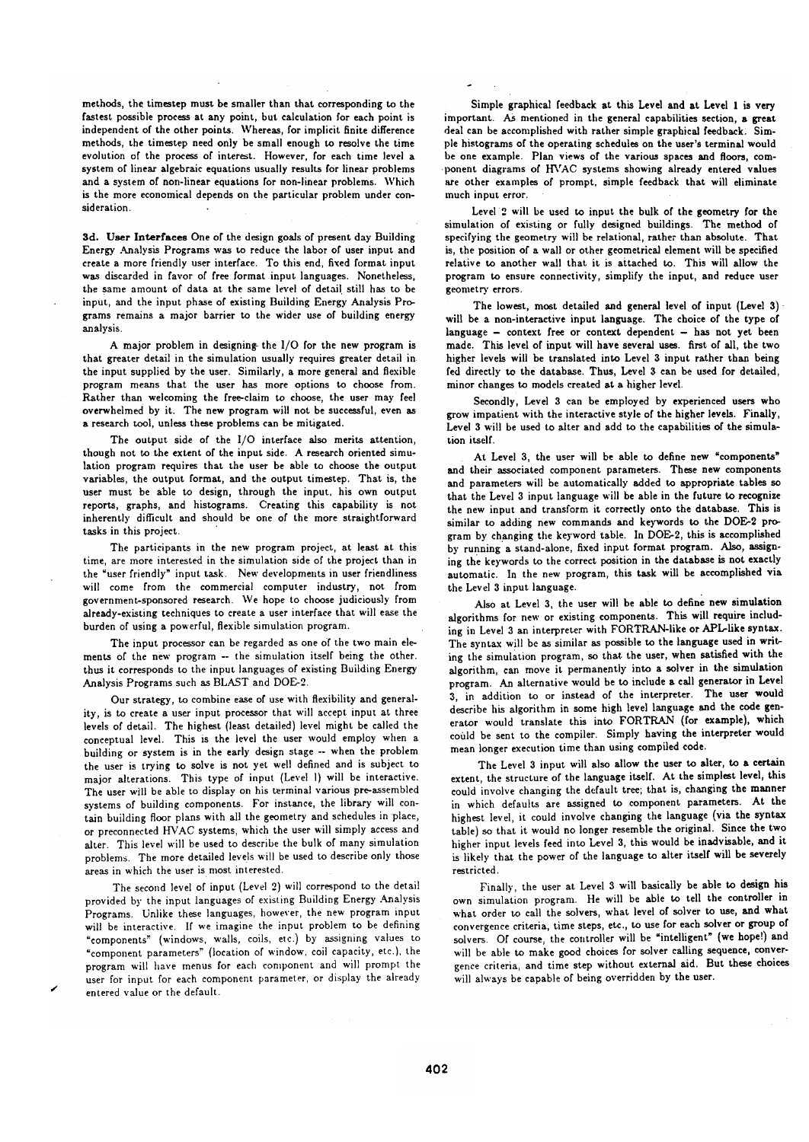methods, the timestep must be smaller than that corresponding to the fastest possible process at any point, but calculation for each point is independent of the other points. Whereas, for implicit finite difference methods, the timestep need only be small enough to resolve the time evolution of the process of interest. However, for each time level a system of linear algebraic equations usually results for linear problems and a system of non-linear equations for non-linear problems. Which is the more economical depends on the particular problem under consideration

3d. User Interfaces One of the design goals of present day Building Energy Analysis Programs was to reduce the labor of user input and create a more friendly user interface. To this end, fixed format input was discarded in favor of free format input languages. Nonetheless, the same amount of data at the same level of detail still has to be input, and the input phase of existing Building Energy Analysis Programs remains a major barrier to the wider use of building energy analysis

A major problem in designing the I/O for the new program is that greater detail in the simulation usually requires greater detail in the input supplied by the user. Similarly, a more general and flexible program means that the user has more options to choose from. Rather than welcoming the free-claim to choose, the user may feel overwhelmed by it. The new program will not be successful, even as a research tool, unless these problems can be mitigated.

The output side of the I/O interface also merits attention, though not to the extent of the input side. A research oriented simulation program requires that the user be able to choose the output variables, the output format, and the output timestep. That is, the user must be able to design, through the input, his own output reports, graphs, and histograms. Creating this capability is not inherently difficult and should be one of the more straightforward tasks in this project.

The participants in the new program project, at least at this time, are more interested in the simulation side of the project than in the "user friendly" input task. New developments in user friendliness will come from the commercial computer industry, not from government-sponsored research. We hope to choose judiciously from already-existing techniques to create a user interface that will ease the burden of using a powerful, flexible simulation program.

The input processor can be regarded as one of the two main elements of the new program -- the simulation itself being the other. thus it corresponds to the input languages of existing Building Energy Analysis Programs such as BLAST and DOE-2.

Our strategy, to combine ease of use with flexibility and generality, is to create a user input processor that will accept input at three levels of detail. The highest (least detailed) level might be called the conceptual level. This is the level the user would employ when a building or system is in the early design stage -- when the problem the user is trying to solve is not yet well defined and is subject to major alterations. This type of input (Level 1) will be interactive. The user will be able to display on his terminal various pre-assembled systems of building components. For instance, the library will contain building floor plans with all the geometry and schedules in place, or preconnected HVAC systems, which the user will simply access and alter. This level will be used to describe the bulk of many simulation problems. The more detailed levels will be used to describe only those areas in which the user is most interested.

The second level of input (Level 2) will correspond to the detail provided by the input languages of existing Building Energy Analysis Programs. Unlike these languages, however, the new program input will be interactive. If we imagine the input problem to be defining "components" (windows, walls, coils, etc.) by assigning values to "component parameters" (location of window, coil capacity, etc.), the program will have menus for each component and will prompt the user for input for each component parameter, or display the already entered value or the default.

Simple graphical feedback at this Level and at Level 1 is very important. As mentioned in the general capabilities section, a great deal can be accomplished with rather simple graphical feedback. Simple histograms of the operating schedules on the user's terminal would be one example. Plan views of the various spaces and floors, component diagrams of HVAC systems showing already entered values are other examples of prompt, simple feedback that will eliminate much input error.

Level 2 will be used to input the bulk of the geometry for the simulation of existing or fully designed buildings. The method of specifying the geometry will be relational, rather than absolute. That is, the position of a wall or other geometrical element will be specified relative to another wall that it is attached to. This will allow the program to ensure connectivity, simplify the input, and reduce user geometry errors.

The lowest, most detailed and general level of input (Level 3) will be a non-interactive input language. The choice of the type of language - context free or context dependent - has not yet been made. This level of input will have several uses. first of all, the two higher levels will be translated into Level 3 input rather than being fed directly to the database. Thus, Level 3 can be used for detailed, minor changes to models created at a higher level.

Secondly. Level 3 can be employed by experienced users who grow impatient with the interactive style of the higher levels. Finally, Level 3 will be used to alter and add to the capabilities of the simulation itself.

At Level 3, the user will be able to define new "components" and their associated component parameters. These new components and parameters will be automatically added to appropriate tables so that the Level 3 input language will be able in the future to recognize the new input and transform it correctly onto the database. This is similar to adding new commands and keywords to the DOE-2 program by changing the keyword table. In DOE-2, this is accomplished by running a stand-alone, fixed input format program. Also, assigning the keywords to the correct position in the database is not exactly automatic. In the new program, this task will be accomplished via the Level 3 input language.

Also at Level 3, the user will be able to define new simulation algorithms for new or existing components. This will require including in Level 3 an interpreter with FORTRAN-like or APL-like syntax. The syntax will be as similar as possible to the language used in writing the simulation program, so that the user, when satisfied with the algorithm, can move it permanently into a solver in the simulation program. An alternative would be to include a call generator in Level 3, in addition to or instead of the interpreter. The user would describe his algorithm in some high level language and the code generator would translate this into FORTRAN (for example), which could be sent to the compiler. Simply having the interpreter would mean longer execution time than using compiled code.

The Level 3 input will also allow the user to alter, to a certain extent, the structure of the language itself. At the simplest level, this could involve changing the default tree; that is, changing the manner in which defaults are assigned to component parameters. At the highest level, it could involve changing the language (via the syntax table) so that it would no longer resemble the original. Since the two higher input levels feed into Level 3, this would be inadvisable, and it is likely that the power of the language to alter itself will be severely restricted.

Finally, the user at Level 3 will basically be able to design his own simulation program. He will be able to tell the controller in what order to call the solvers, what level of solver to use, and what convergence criteria, time steps, etc., to use for each solver or group of solvers. Of course, the controller will be "intelligent" (we hope!) and will be able to make good choices for solver calling sequence, convergence criteria, and time step without external aid. But these choices will always be capable of being overridden by the user.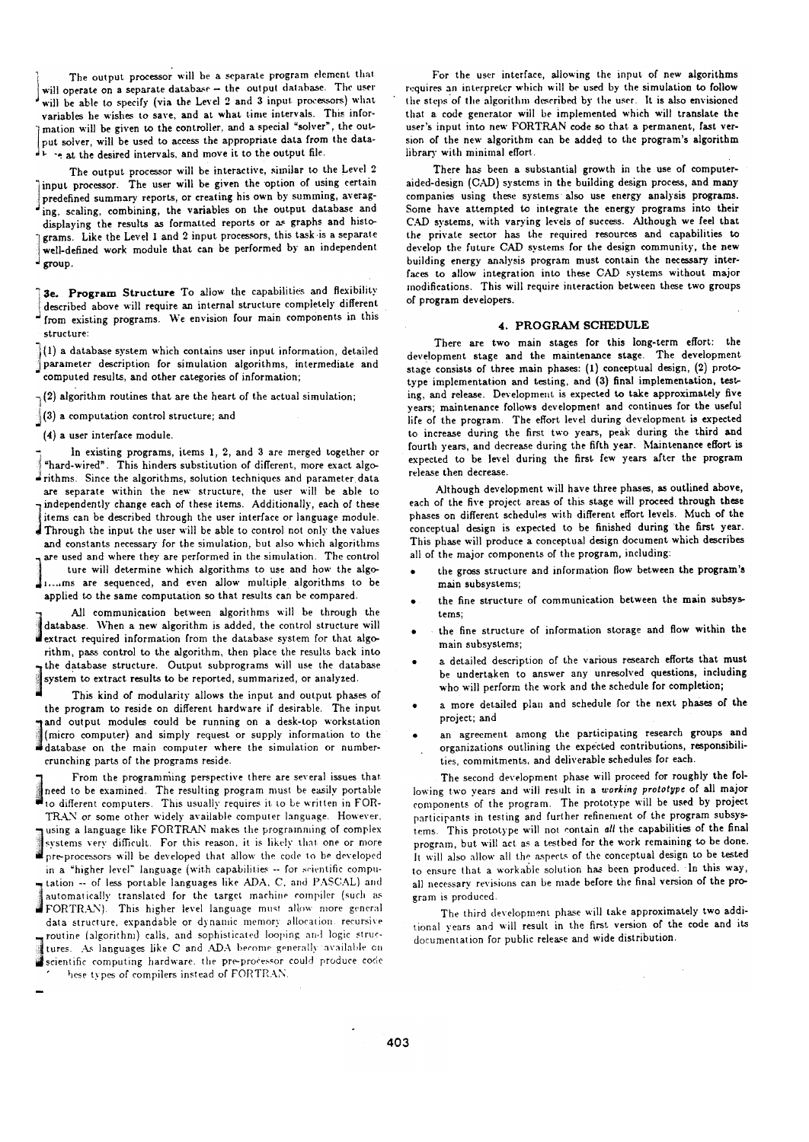The output processor will be a separate program element that will operate on a separate database - the output database. The user will be able to specify (via the Level 2 and 3 input processors) what variables he wishes to save, and at what time intervals. This information will be given to the controller, and a special "solver", the output solver, will be used to access the appropriate data from the datathe desired intervals, and move it to the output file.

The output processor will be interactive, similar to the Level 2 input processor. The user will be given the option of using certain predefined summary reports, or creating his own by summing, averaging, scaling, combining, the variables on the output database and displaying the results as formatted reports or as graphs and histograms. Like the Level 1 and 2 input processors, this task is a separate well-defined work module that can be performed by an independent

 $\frac{1}{2}$  group.

3e. Program Structure To allow the capabilities and flexibility described above will require an internal structure completely different from existing programs. We envision four main components in this structure:

 $\frac{1}{3}(1)$  a database system which contains user input information, detailed parameter description for simulation algorithms, intermediate and computed results, and other categories of information;

 $-(2)$  algorithm routines that are the heart of the actual simulation;

 $\left| \right|$  (3) a computation control structure; and

(4) a user interface module.

In existing programs, items 1, 2, and 3 are merged together or "hard-wired". This hinders substitution of different, more exact algo-Frithms. Since the algorithms, solution techniques and parameter data are separate within the new structure, the user will be able to independently change each of these items. Additionally, each of these items can be described through the user interface or language module. Through the input the user will be able to control not only the values and constants necessary for the simulation, but also which algorithms are used and where they are performed in the simulation. The control ture will determine which algorithms to use and how the algo-1....ms are sequenced, and even allow multiple algorithms to be applied to the same computation so that results can be compared.

All communication between algorithms will be through the database. When a new algorithm is added, the control structure will extract required information from the database system for that algorithm, pass control to the algorithm, then place the results back into the database structure. Output subprograms will use the database system to extract results to be reported, summarized, or analyzed.

This kind of modularity allows the input and output phases of the program to reside on different hardware if desirable. The input and output modules could be running on a desk-top workstation (micro computer) and simply request or supply information to the database on the main computer where the simulation or numbercrunching parts of the programs reside.

From the programming perspective there are several issues that need to be examined. The resulting program must be easily portable to different computers. This usually requires it to be written in FOR-TRAN or some other widely available computer language. However, using a language like FORTRAN makes the programming of complex systems very difficult. For this reason, it is likely that one or more pre-processors will be developed that allow the code to be developed in a "higher level" language (with capabilities -- for scientific computation -- of less portable languages like ADA, C, and PASCAL) and automatically translated for the target machine compiler (such as automatically translated for the cargos music. allow more general data structure, expandable or dynamic memory allocation, recursive routine (algorithm) calls, and sophisticated looping and logic structures. As languages like C and ADA become generally available on scientific computing hardware, the pre-processor could produce code

hese types of compilers instead of FORTRAN.

For the user interface, allowing the input of new algorithms requires an interpreter which will be used by the simulation to follow the steps of the algorithm described by the user. It is also envisioned that a code generator will be implemented which will translate the user's input into new FORTRAN code so that a permanent, fast version of the new algorithm can be added to the program's algorithm library with minimal effort.

There has been a substantial growth in the use of computeraided-design (CAD) systems in the building design process, and many companies using these systems also use energy analysis programs. Some have attempted to integrate the energy programs into their CAD systems, with varying levels of success. Although we feel that the private sector has the required resources and capabilities to develop the future CAD systems for the design community, the new building energy analysis program must contain the necessary interfaces to allow integration into these CAD systems without major modifications. This will require interaction between these two groups of program developers.

#### 4. PROGRAM SCHEDULE

There are two main stages for this long-term effort: the development stage and the maintenance stage. The development stage consists of three main phases: (1) conceptual design, (2) prototype implementation and testing, and (3) final implementation, testing, and release. Development is expected to take approximately five years; maintenance follows development and continues for the useful life of the program. The effort level during development is expected to increase during the first two years, peak during the third and fourth years, and decrease during the fifth year. Maintenance effort is expected to be level during the first few years after the program release then decrease.

Although development will have three phases, as outlined above, each of the five project areas of this stage will proceed through these phases on different schedules with different effort levels. Much of the conceptual design is expected to be finished during the first year. This phase will produce a conceptual design document which describes all of the major components of the program, including:

- the gross structure and information flow between the program's main subsystems:
- the fine structure of communication between the main subsystems:
- the fine structure of information storage and flow within the main subsystems;
- a detailed description of the various research efforts that must be undertaken to answer any unresolved questions, including who will perform the work and the schedule for completion:
- a more detailed plan and schedule for the next phases of the project; and
- an agreement among the participating research groups and organizations outlining the expected contributions, responsibilities, commitments, and deliverable schedules for each.

The second development phase will proceed for roughly the following two years and will result in a working prototype of all major components of the program. The prototype will be used by project participants in testing and further refinement of the program subsystems. This prototype will not contain all the capabilities of the final program, but will act as a testbed for the work remaining to be done. It will also allow all the aspects of the conceptual design to be tested to ensure that a workable solution has been produced. In this way, all necessary revisions can be made before the final version of the program is produced.

The third development phase will take approximately two additional years and will result in the first version of the code and its documentation for public release and wide distribution.

 $\sim$ 

 $\sim$